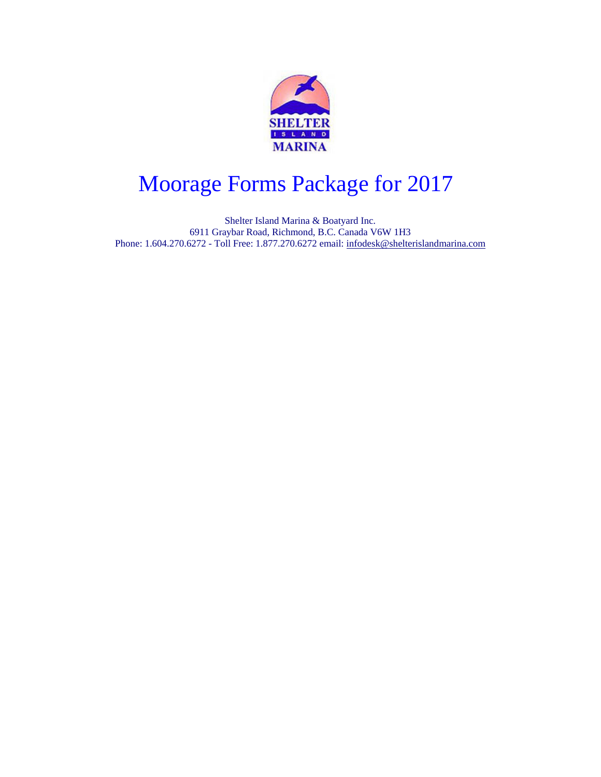

## Moorage Forms Package for 2013 Moorage Forms Package for 2017

Shelter Island Marina & Boatyard Inc. 6911 Graybar Road, Richmond, B.C. Canada V6W 1H3 Phone: 1.604.270.6272 - Toll Free: 1.877.270.6272 email: [infodesk@shelterislandmarina.com](mailto:infodesk@shelterislandmarina.com)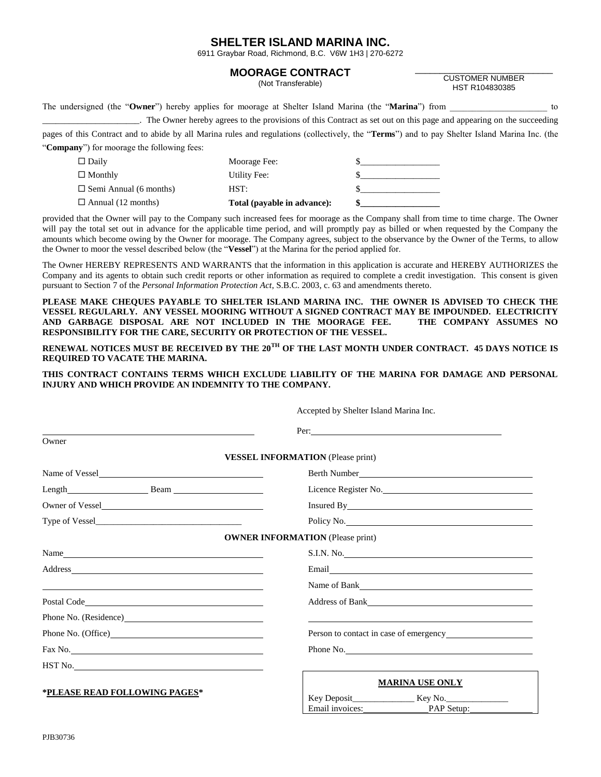#### **SHELTER ISLAND MARINA INC.**

6911 Graybar Road, Richmond, B.C. V6W 1H3 | 270-6272

#### **MOORAGE CONTRACT**

(Not Transferable)

\_\_\_\_\_\_\_\_\_\_\_\_\_\_\_\_\_\_\_\_\_\_\_\_\_\_\_\_ CUSTOMER NUMBER HST R104830385

|  | The undersigned (the "Owner") hereby applies for moorage at Shelter Island Marina (the "Marina") from |  |  |  | to |
|--|-------------------------------------------------------------------------------------------------------|--|--|--|----|
|--|-------------------------------------------------------------------------------------------------------|--|--|--|----|

\_\_\_\_\_\_\_\_\_\_\_\_\_\_\_\_\_\_\_\_\_\_. The Owner hereby agrees to the provisions of this Contract as set out on this page and appearing on the succeeding

pages of this Contract and to abide by all Marina rules and regulations (collectively, the "**Terms**") and to pay Shelter Island Marina Inc. (the "**Company**") for moorage the following fees:

| $\Box$ Daily                  | Moorage Fee:                |  |
|-------------------------------|-----------------------------|--|
| $\Box$ Monthly                | Utility Fee:                |  |
| $\Box$ Semi Annual (6 months) | HST:                        |  |
| $\Box$ Annual (12 months)     | Total (payable in advance): |  |

provided that the Owner will pay to the Company such increased fees for moorage as the Company shall from time to time charge. The Owner will pay the total set out in advance for the applicable time period, and will promptly pay as billed or when requested by the Company the amounts which become owing by the Owner for moorage. The Company agrees, subject to the observance by the Owner of the Terms, to allow the Owner to moor the vessel described below (the "**Vessel**") at the Marina for the period applied for.

The Owner HEREBY REPRESENTS AND WARRANTS that the information in this application is accurate and HEREBY AUTHORIZES the Company and its agents to obtain such credit reports or other information as required to complete a credit investigation. This consent is given pursuant to Section 7 of the *Personal Information Protection Act*, S.B.C. 2003, c. 63 and amendments thereto.

**PLEASE MAKE CHEQUES PAYABLE TO SHELTER ISLAND MARINA INC. THE OWNER IS ADVISED TO CHECK THE VESSEL REGULARLY. ANY VESSEL MOORING WITHOUT A SIGNED CONTRACT MAY BE IMPOUNDED. ELECTRICITY AND GARBAGE DISPOSAL ARE NOT INCLUDED IN THE MOORAGE FEE. THE COMPANY ASSUMES NO RESPONSIBILITY FOR THE CARE, SECURITY OR PROTECTION OF THE VESSEL.**

**RENEWAL NOTICES MUST BE RECEIVED BY THE 20TH OF THE LAST MONTH UNDER CONTRACT. 45 DAYS NOTICE IS REQUIRED TO VACATE THE MARINA.**

**THIS CONTRACT CONTAINS TERMS WHICH EXCLUDE LIABILITY OF THE MARINA FOR DAMAGE AND PERSONAL INJURY AND WHICH PROVIDE AN INDEMNITY TO THE COMPANY.**

 $A = \begin{bmatrix} 1 & 1 & 0 & 1 \\ 0 & 0 & 1 & 1 \end{bmatrix}$ 

| Accepted by Shelter Island Marina Inc.                                                                                                                                                                                         |                                                                                                                                                                                                                                      |  |  |  |  |  |
|--------------------------------------------------------------------------------------------------------------------------------------------------------------------------------------------------------------------------------|--------------------------------------------------------------------------------------------------------------------------------------------------------------------------------------------------------------------------------------|--|--|--|--|--|
|                                                                                                                                                                                                                                | Per:                                                                                                                                                                                                                                 |  |  |  |  |  |
| Owner                                                                                                                                                                                                                          |                                                                                                                                                                                                                                      |  |  |  |  |  |
|                                                                                                                                                                                                                                | <b>VESSEL INFORMATION</b> (Please print)                                                                                                                                                                                             |  |  |  |  |  |
| Name of Vessel                                                                                                                                                                                                                 | Berth Number <u>Communication</u>                                                                                                                                                                                                    |  |  |  |  |  |
| Length Beam Beam                                                                                                                                                                                                               | Licence Register No.                                                                                                                                                                                                                 |  |  |  |  |  |
|                                                                                                                                                                                                                                | Insured By <u>example and the set of the set of the set of the set of the set of the set of the set of the set of the set of the set of the set of the set of the set of the set of the set of the set of the set of the set of </u> |  |  |  |  |  |
|                                                                                                                                                                                                                                | Policy No.                                                                                                                                                                                                                           |  |  |  |  |  |
|                                                                                                                                                                                                                                | <b>OWNER INFORMATION (Please print)</b>                                                                                                                                                                                              |  |  |  |  |  |
|                                                                                                                                                                                                                                | S.I.N. No.                                                                                                                                                                                                                           |  |  |  |  |  |
| Address and the contract of the contract of the contract of the contract of the contract of the contract of the contract of the contract of the contract of the contract of the contract of the contract of the contract of th |                                                                                                                                                                                                                                      |  |  |  |  |  |
| <u> 2000 - Andrea Andrewski, politik američki politik († 20. dubnja 1900)</u>                                                                                                                                                  |                                                                                                                                                                                                                                      |  |  |  |  |  |
|                                                                                                                                                                                                                                |                                                                                                                                                                                                                                      |  |  |  |  |  |
|                                                                                                                                                                                                                                |                                                                                                                                                                                                                                      |  |  |  |  |  |
|                                                                                                                                                                                                                                |                                                                                                                                                                                                                                      |  |  |  |  |  |
| Fax No.                                                                                                                                                                                                                        | Phone No.                                                                                                                                                                                                                            |  |  |  |  |  |
| $\operatorname{HST}$ No.                                                                                                                                                                                                       | <u> 1989 - Johann Stein, marwolaethau a bhann an t-Alban ann an t-Alban an t-Alban ann an t-Alban an t-Alban ann a</u>                                                                                                               |  |  |  |  |  |
| *PLEASE READ FOLLOWING PAGES*                                                                                                                                                                                                  | <b>MARINA USE ONLY</b><br>Email invoices: PAP Setup:                                                                                                                                                                                 |  |  |  |  |  |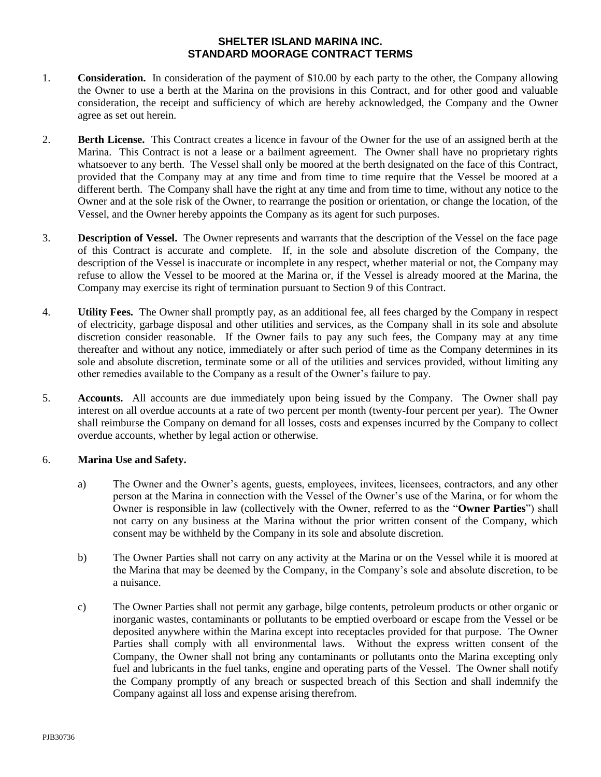## **SHELTER ISLAND MARINA INC. STANDARD MOORAGE CONTRACT TERMS**

- 1. **Consideration.** In consideration of the payment of \$10.00 by each party to the other, the Company allowing the Owner to use a berth at the Marina on the provisions in this Contract, and for other good and valuable consideration, the receipt and sufficiency of which are hereby acknowledged, the Company and the Owner agree as set out herein.
- 2. **Berth License.** This Contract creates a licence in favour of the Owner for the use of an assigned berth at the Marina. This Contract is not a lease or a bailment agreement. The Owner shall have no proprietary rights whatsoever to any berth. The Vessel shall only be moored at the berth designated on the face of this Contract, provided that the Company may at any time and from time to time require that the Vessel be moored at a different berth. The Company shall have the right at any time and from time to time, without any notice to the Owner and at the sole risk of the Owner, to rearrange the position or orientation, or change the location, of the Vessel, and the Owner hereby appoints the Company as its agent for such purposes.
- 3. **Description of Vessel.** The Owner represents and warrants that the description of the Vessel on the face page of this Contract is accurate and complete. If, in the sole and absolute discretion of the Company, the description of the Vessel is inaccurate or incomplete in any respect, whether material or not, the Company may refuse to allow the Vessel to be moored at the Marina or, if the Vessel is already moored at the Marina, the Company may exercise its right of termination pursuant to Section 9 of this Contract.
- 4. **Utility Fees.** The Owner shall promptly pay, as an additional fee, all fees charged by the Company in respect of electricity, garbage disposal and other utilities and services, as the Company shall in its sole and absolute discretion consider reasonable. If the Owner fails to pay any such fees, the Company may at any time thereafter and without any notice, immediately or after such period of time as the Company determines in its sole and absolute discretion, terminate some or all of the utilities and services provided, without limiting any other remedies available to the Company as a result of the Owner's failure to pay.
- 5. **Accounts.** All accounts are due immediately upon being issued by the Company. The Owner shall pay interest on all overdue accounts at a rate of two percent per month (twenty-four percent per year). The Owner shall reimburse the Company on demand for all losses, costs and expenses incurred by the Company to collect overdue accounts, whether by legal action or otherwise.

#### 6. **Marina Use and Safety.**

- a) The Owner and the Owner's agents, guests, employees, invitees, licensees, contractors, and any other person at the Marina in connection with the Vessel of the Owner's use of the Marina, or for whom the Owner is responsible in law (collectively with the Owner, referred to as the "**Owner Parties**") shall not carry on any business at the Marina without the prior written consent of the Company, which consent may be withheld by the Company in its sole and absolute discretion.
- b) The Owner Parties shall not carry on any activity at the Marina or on the Vessel while it is moored at the Marina that may be deemed by the Company, in the Company's sole and absolute discretion, to be a nuisance.
- c) The Owner Parties shall not permit any garbage, bilge contents, petroleum products or other organic or inorganic wastes, contaminants or pollutants to be emptied overboard or escape from the Vessel or be deposited anywhere within the Marina except into receptacles provided for that purpose. The Owner Parties shall comply with all environmental laws. Without the express written consent of the Company, the Owner shall not bring any contaminants or pollutants onto the Marina excepting only fuel and lubricants in the fuel tanks, engine and operating parts of the Vessel. The Owner shall notify the Company promptly of any breach or suspected breach of this Section and shall indemnify the Company against all loss and expense arising therefrom.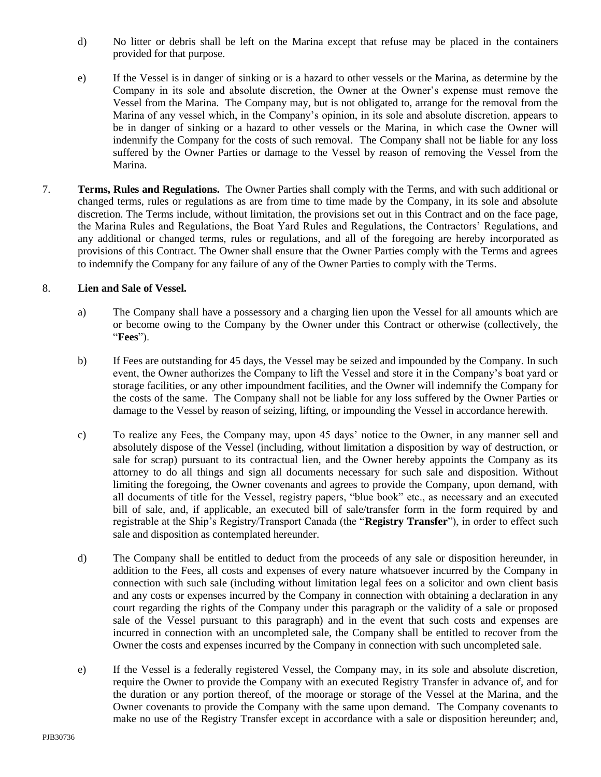- d) No litter or debris shall be left on the Marina except that refuse may be placed in the containers provided for that purpose.
- e) If the Vessel is in danger of sinking or is a hazard to other vessels or the Marina, as determine by the Company in its sole and absolute discretion, the Owner at the Owner's expense must remove the Vessel from the Marina. The Company may, but is not obligated to, arrange for the removal from the Marina of any vessel which, in the Company's opinion, in its sole and absolute discretion, appears to be in danger of sinking or a hazard to other vessels or the Marina, in which case the Owner will indemnify the Company for the costs of such removal. The Company shall not be liable for any loss suffered by the Owner Parties or damage to the Vessel by reason of removing the Vessel from the Marina.
- 7. **Terms, Rules and Regulations.** The Owner Parties shall comply with the Terms, and with such additional or changed terms, rules or regulations as are from time to time made by the Company, in its sole and absolute discretion. The Terms include, without limitation, the provisions set out in this Contract and on the face page, the Marina Rules and Regulations, the Boat Yard Rules and Regulations, the Contractors' Regulations, and any additional or changed terms, rules or regulations, and all of the foregoing are hereby incorporated as provisions of this Contract. The Owner shall ensure that the Owner Parties comply with the Terms and agrees to indemnify the Company for any failure of any of the Owner Parties to comply with the Terms.

## 8. **Lien and Sale of Vessel.**

- a) The Company shall have a possessory and a charging lien upon the Vessel for all amounts which are or become owing to the Company by the Owner under this Contract or otherwise (collectively, the "**Fees**").
- b) If Fees are outstanding for 45 days, the Vessel may be seized and impounded by the Company. In such event, the Owner authorizes the Company to lift the Vessel and store it in the Company's boat yard or storage facilities, or any other impoundment facilities, and the Owner will indemnify the Company for the costs of the same. The Company shall not be liable for any loss suffered by the Owner Parties or damage to the Vessel by reason of seizing, lifting, or impounding the Vessel in accordance herewith.
- c) To realize any Fees, the Company may, upon 45 days' notice to the Owner, in any manner sell and absolutely dispose of the Vessel (including, without limitation a disposition by way of destruction, or sale for scrap) pursuant to its contractual lien, and the Owner hereby appoints the Company as its attorney to do all things and sign all documents necessary for such sale and disposition. Without limiting the foregoing, the Owner covenants and agrees to provide the Company, upon demand, with all documents of title for the Vessel, registry papers, "blue book" etc., as necessary and an executed bill of sale, and, if applicable, an executed bill of sale/transfer form in the form required by and registrable at the Ship's Registry/Transport Canada (the "**Registry Transfer**"), in order to effect such sale and disposition as contemplated hereunder.
- d) The Company shall be entitled to deduct from the proceeds of any sale or disposition hereunder, in addition to the Fees, all costs and expenses of every nature whatsoever incurred by the Company in connection with such sale (including without limitation legal fees on a solicitor and own client basis and any costs or expenses incurred by the Company in connection with obtaining a declaration in any court regarding the rights of the Company under this paragraph or the validity of a sale or proposed sale of the Vessel pursuant to this paragraph) and in the event that such costs and expenses are incurred in connection with an uncompleted sale, the Company shall be entitled to recover from the Owner the costs and expenses incurred by the Company in connection with such uncompleted sale.
- e) If the Vessel is a federally registered Vessel, the Company may, in its sole and absolute discretion, require the Owner to provide the Company with an executed Registry Transfer in advance of, and for the duration or any portion thereof, of the moorage or storage of the Vessel at the Marina, and the Owner covenants to provide the Company with the same upon demand. The Company covenants to make no use of the Registry Transfer except in accordance with a sale or disposition hereunder; and,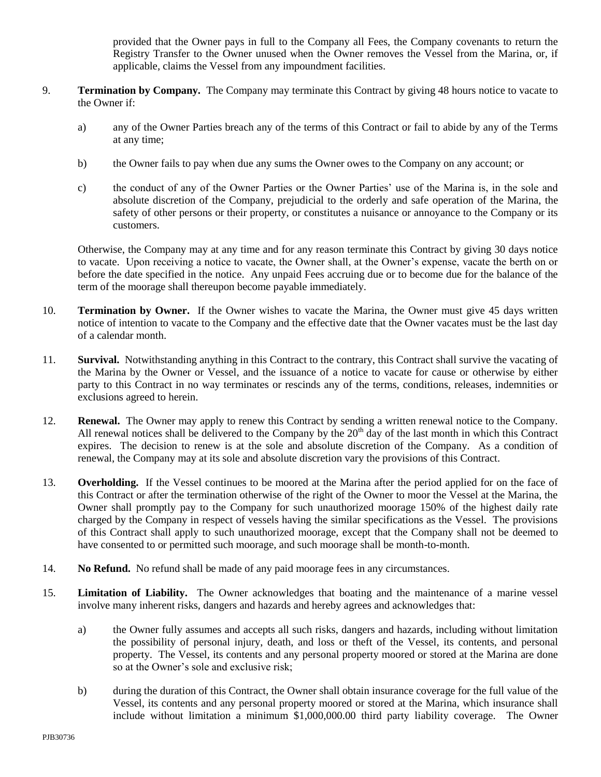provided that the Owner pays in full to the Company all Fees, the Company covenants to return the Registry Transfer to the Owner unused when the Owner removes the Vessel from the Marina, or, if applicable, claims the Vessel from any impoundment facilities.

- 9. **Termination by Company.** The Company may terminate this Contract by giving 48 hours notice to vacate to the Owner if:
	- a) any of the Owner Parties breach any of the terms of this Contract or fail to abide by any of the Terms at any time;
	- b) the Owner fails to pay when due any sums the Owner owes to the Company on any account; or
	- c) the conduct of any of the Owner Parties or the Owner Parties' use of the Marina is, in the sole and absolute discretion of the Company, prejudicial to the orderly and safe operation of the Marina, the safety of other persons or their property, or constitutes a nuisance or annoyance to the Company or its customers.

Otherwise, the Company may at any time and for any reason terminate this Contract by giving 30 days notice to vacate. Upon receiving a notice to vacate, the Owner shall, at the Owner's expense, vacate the berth on or before the date specified in the notice. Any unpaid Fees accruing due or to become due for the balance of the term of the moorage shall thereupon become payable immediately.

- 10. **Termination by Owner.** If the Owner wishes to vacate the Marina, the Owner must give 45 days written notice of intention to vacate to the Company and the effective date that the Owner vacates must be the last day of a calendar month.
- 11. **Survival.** Notwithstanding anything in this Contract to the contrary, this Contract shall survive the vacating of the Marina by the Owner or Vessel, and the issuance of a notice to vacate for cause or otherwise by either party to this Contract in no way terminates or rescinds any of the terms, conditions, releases, indemnities or exclusions agreed to herein.
- 12. **Renewal.** The Owner may apply to renew this Contract by sending a written renewal notice to the Company. All renewal notices shall be delivered to the Company by the  $20<sup>th</sup>$  day of the last month in which this Contract expires. The decision to renew is at the sole and absolute discretion of the Company. As a condition of renewal, the Company may at its sole and absolute discretion vary the provisions of this Contract.
- 13. **Overholding.** If the Vessel continues to be moored at the Marina after the period applied for on the face of this Contract or after the termination otherwise of the right of the Owner to moor the Vessel at the Marina, the Owner shall promptly pay to the Company for such unauthorized moorage 150% of the highest daily rate charged by the Company in respect of vessels having the similar specifications as the Vessel. The provisions of this Contract shall apply to such unauthorized moorage, except that the Company shall not be deemed to have consented to or permitted such moorage, and such moorage shall be month-to-month.
- 14. **No Refund.** No refund shall be made of any paid moorage fees in any circumstances.
- 15. **Limitation of Liability.** The Owner acknowledges that boating and the maintenance of a marine vessel involve many inherent risks, dangers and hazards and hereby agrees and acknowledges that:
	- a) the Owner fully assumes and accepts all such risks, dangers and hazards, including without limitation the possibility of personal injury, death, and loss or theft of the Vessel, its contents, and personal property. The Vessel, its contents and any personal property moored or stored at the Marina are done so at the Owner's sole and exclusive risk;
	- b) during the duration of this Contract, the Owner shall obtain insurance coverage for the full value of the Vessel, its contents and any personal property moored or stored at the Marina, which insurance shall include without limitation a minimum \$1,000,000.00 third party liability coverage. The Owner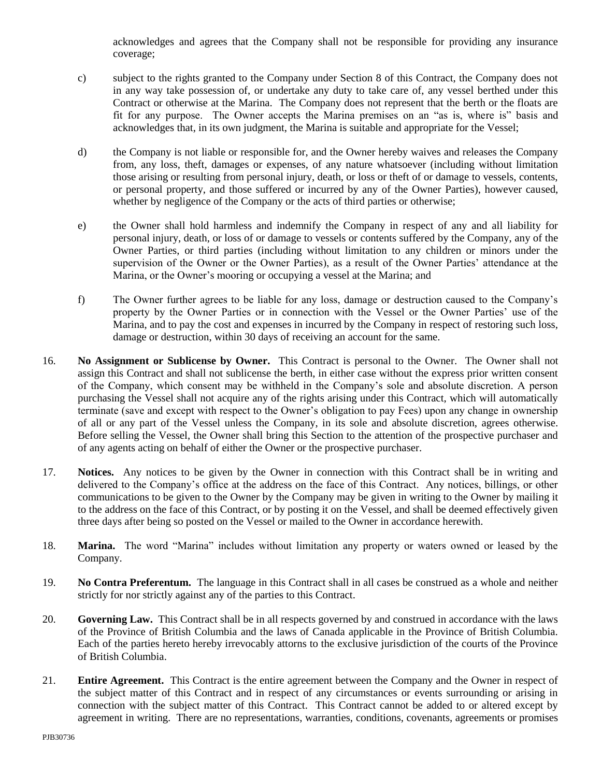acknowledges and agrees that the Company shall not be responsible for providing any insurance coverage;

- c) subject to the rights granted to the Company under Section 8 of this Contract, the Company does not in any way take possession of, or undertake any duty to take care of, any vessel berthed under this Contract or otherwise at the Marina. The Company does not represent that the berth or the floats are fit for any purpose. The Owner accepts the Marina premises on an "as is, where is" basis and acknowledges that, in its own judgment, the Marina is suitable and appropriate for the Vessel;
- d) the Company is not liable or responsible for, and the Owner hereby waives and releases the Company from, any loss, theft, damages or expenses, of any nature whatsoever (including without limitation those arising or resulting from personal injury, death, or loss or theft of or damage to vessels, contents, or personal property, and those suffered or incurred by any of the Owner Parties), however caused, whether by negligence of the Company or the acts of third parties or otherwise;
- e) the Owner shall hold harmless and indemnify the Company in respect of any and all liability for personal injury, death, or loss of or damage to vessels or contents suffered by the Company, any of the Owner Parties, or third parties (including without limitation to any children or minors under the supervision of the Owner or the Owner Parties), as a result of the Owner Parties' attendance at the Marina, or the Owner's mooring or occupying a vessel at the Marina; and
- f) The Owner further agrees to be liable for any loss, damage or destruction caused to the Company's property by the Owner Parties or in connection with the Vessel or the Owner Parties' use of the Marina, and to pay the cost and expenses in incurred by the Company in respect of restoring such loss, damage or destruction, within 30 days of receiving an account for the same.
- 16. **No Assignment or Sublicense by Owner.** This Contract is personal to the Owner. The Owner shall not assign this Contract and shall not sublicense the berth, in either case without the express prior written consent of the Company, which consent may be withheld in the Company's sole and absolute discretion. A person purchasing the Vessel shall not acquire any of the rights arising under this Contract, which will automatically terminate (save and except with respect to the Owner's obligation to pay Fees) upon any change in ownership of all or any part of the Vessel unless the Company, in its sole and absolute discretion, agrees otherwise. Before selling the Vessel, the Owner shall bring this Section to the attention of the prospective purchaser and of any agents acting on behalf of either the Owner or the prospective purchaser.
- 17. **Notices.** Any notices to be given by the Owner in connection with this Contract shall be in writing and delivered to the Company's office at the address on the face of this Contract. Any notices, billings, or other communications to be given to the Owner by the Company may be given in writing to the Owner by mailing it to the address on the face of this Contract, or by posting it on the Vessel, and shall be deemed effectively given three days after being so posted on the Vessel or mailed to the Owner in accordance herewith.
- 18. **Marina.** The word "Marina" includes without limitation any property or waters owned or leased by the Company.
- 19. **No Contra Preferentum.** The language in this Contract shall in all cases be construed as a whole and neither strictly for nor strictly against any of the parties to this Contract.
- 20. **Governing Law.** This Contract shall be in all respects governed by and construed in accordance with the laws of the Province of British Columbia and the laws of Canada applicable in the Province of British Columbia. Each of the parties hereto hereby irrevocably attorns to the exclusive jurisdiction of the courts of the Province of British Columbia.
- 21. **Entire Agreement.** This Contract is the entire agreement between the Company and the Owner in respect of the subject matter of this Contract and in respect of any circumstances or events surrounding or arising in connection with the subject matter of this Contract. This Contract cannot be added to or altered except by agreement in writing. There are no representations, warranties, conditions, covenants, agreements or promises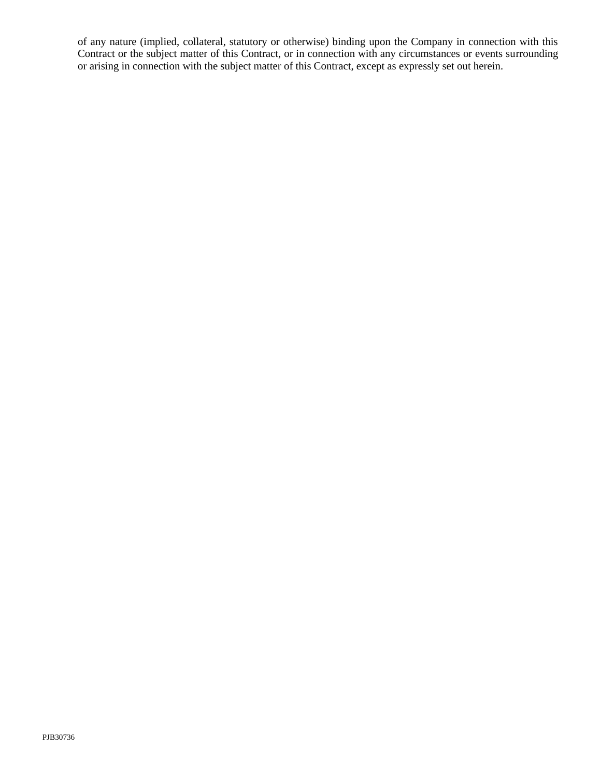of any nature (implied, collateral, statutory or otherwise) binding upon the Company in connection with this Contract or the subject matter of this Contract, or in connection with any circumstances or events surrounding or arising in connection with the subject matter of this Contract, except as expressly set out herein.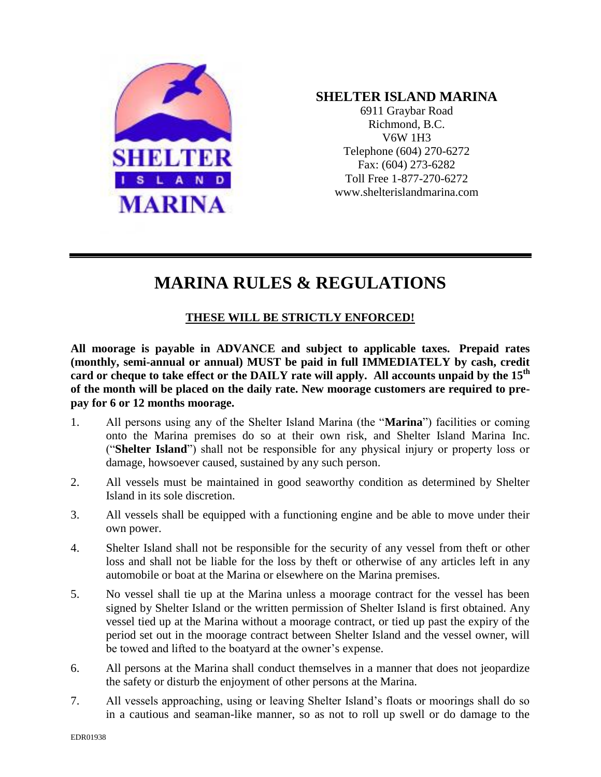

## **SHELTER ISLAND MARINA**

6911 Graybar Road Richmond, B.C. V6W 1H3 Telephone (604) 270-6272 Fax: (604) 273-6282 Toll Free 1-877-270-6272 www.shelterislandmarina.com

## **MARINA RULES & REGULATIONS**

## **THESE WILL BE STRICTLY ENFORCED!**

**All moorage is payable in ADVANCE and subject to applicable taxes. Prepaid rates (monthly, semi-annual or annual) MUST be paid in full IMMEDIATELY by cash, credit card or cheque to take effect or the DAILY rate will apply. All accounts unpaid by the 15th of the month will be placed on the daily rate. New moorage customers are required to prepay for 6 or 12 months moorage.**

- 1. All persons using any of the Shelter Island Marina (the "**Marina**") facilities or coming onto the Marina premises do so at their own risk, and Shelter Island Marina Inc. ("**Shelter Island**") shall not be responsible for any physical injury or property loss or damage, howsoever caused, sustained by any such person.
- 2. All vessels must be maintained in good seaworthy condition as determined by Shelter Island in its sole discretion.
- 3. All vessels shall be equipped with a functioning engine and be able to move under their own power.
- 4. Shelter Island shall not be responsible for the security of any vessel from theft or other loss and shall not be liable for the loss by theft or otherwise of any articles left in any automobile or boat at the Marina or elsewhere on the Marina premises.
- 5. No vessel shall tie up at the Marina unless a moorage contract for the vessel has been signed by Shelter Island or the written permission of Shelter Island is first obtained. Any vessel tied up at the Marina without a moorage contract, or tied up past the expiry of the period set out in the moorage contract between Shelter Island and the vessel owner, will be towed and lifted to the boatyard at the owner's expense.
- 6. All persons at the Marina shall conduct themselves in a manner that does not jeopardize the safety or disturb the enjoyment of other persons at the Marina.
- 7. All vessels approaching, using or leaving Shelter Island's floats or moorings shall do so in a cautious and seaman-like manner, so as not to roll up swell or do damage to the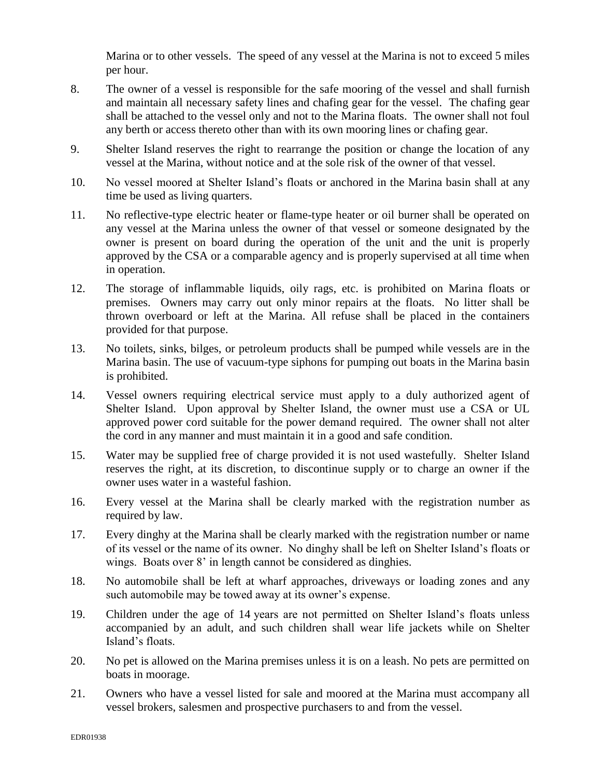Marina or to other vessels. The speed of any vessel at the Marina is not to exceed 5 miles per hour.

- 8. The owner of a vessel is responsible for the safe mooring of the vessel and shall furnish and maintain all necessary safety lines and chafing gear for the vessel. The chafing gear shall be attached to the vessel only and not to the Marina floats. The owner shall not foul any berth or access thereto other than with its own mooring lines or chafing gear.
- 9. Shelter Island reserves the right to rearrange the position or change the location of any vessel at the Marina, without notice and at the sole risk of the owner of that vessel.
- 10. No vessel moored at Shelter Island's floats or anchored in the Marina basin shall at any time be used as living quarters.
- 11. No reflective-type electric heater or flame-type heater or oil burner shall be operated on any vessel at the Marina unless the owner of that vessel or someone designated by the owner is present on board during the operation of the unit and the unit is properly approved by the CSA or a comparable agency and is properly supervised at all time when in operation.
- 12. The storage of inflammable liquids, oily rags, etc. is prohibited on Marina floats or premises. Owners may carry out only minor repairs at the floats. No litter shall be thrown overboard or left at the Marina. All refuse shall be placed in the containers provided for that purpose.
- 13. No toilets, sinks, bilges, or petroleum products shall be pumped while vessels are in the Marina basin. The use of vacuum-type siphons for pumping out boats in the Marina basin is prohibited.
- 14. Vessel owners requiring electrical service must apply to a duly authorized agent of Shelter Island. Upon approval by Shelter Island, the owner must use a CSA or UL approved power cord suitable for the power demand required. The owner shall not alter the cord in any manner and must maintain it in a good and safe condition.
- 15. Water may be supplied free of charge provided it is not used wastefully. Shelter Island reserves the right, at its discretion, to discontinue supply or to charge an owner if the owner uses water in a wasteful fashion.
- 16. Every vessel at the Marina shall be clearly marked with the registration number as required by law.
- 17. Every dinghy at the Marina shall be clearly marked with the registration number or name of its vessel or the name of its owner. No dinghy shall be left on Shelter Island's floats or wings. Boats over 8' in length cannot be considered as dinghies.
- 18. No automobile shall be left at wharf approaches, driveways or loading zones and any such automobile may be towed away at its owner's expense.
- 19. Children under the age of 14 years are not permitted on Shelter Island's floats unless accompanied by an adult, and such children shall wear life jackets while on Shelter Island's floats.
- 20. No pet is allowed on the Marina premises unless it is on a leash. No pets are permitted on boats in moorage.
- 21. Owners who have a vessel listed for sale and moored at the Marina must accompany all vessel brokers, salesmen and prospective purchasers to and from the vessel.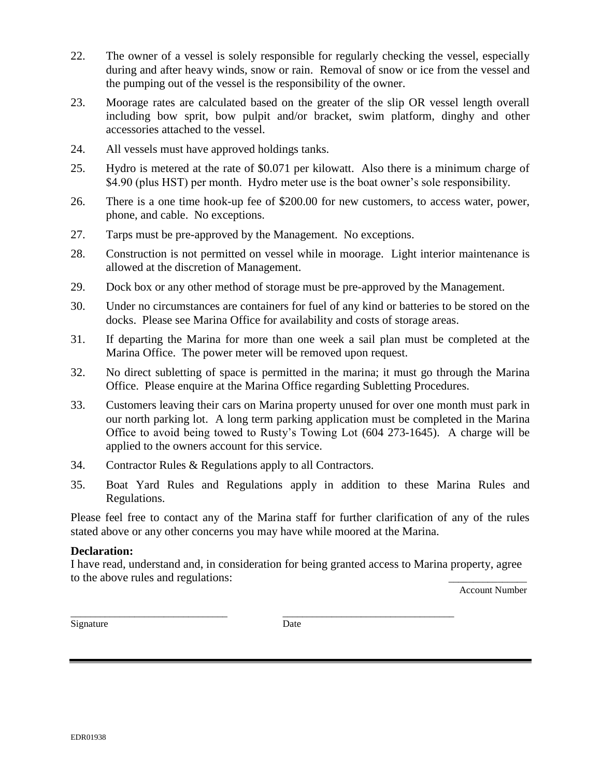- 22. The owner of a vessel is solely responsible for regularly checking the vessel, especially during and after heavy winds, snow or rain. Removal of snow or ice from the vessel and the pumping out of the vessel is the responsibility of the owner.
- 23. Moorage rates are calculated based on the greater of the slip OR vessel length overall including bow sprit, bow pulpit and/or bracket, swim platform, dinghy and other accessories attached to the vessel.
- 24. All vessels must have approved holdings tanks.
- 25. Hydro is metered at the rate of \$0.071 per kilowatt. Also there is a minimum charge of \$4.90 (plus HST) per month. Hydro meter use is the boat owner's sole responsibility.
- 26. There is a one time hook-up fee of \$200.00 for new customers, to access water, power, phone, and cable. No exceptions.
- 27. Tarps must be pre-approved by the Management. No exceptions.
- 28. Construction is not permitted on vessel while in moorage. Light interior maintenance is allowed at the discretion of Management.
- 29. Dock box or any other method of storage must be pre-approved by the Management.
- 30. Under no circumstances are containers for fuel of any kind or batteries to be stored on the docks. Please see Marina Office for availability and costs of storage areas.
- 31. If departing the Marina for more than one week a sail plan must be completed at the Marina Office. The power meter will be removed upon request.
- 32. No direct subletting of space is permitted in the marina; it must go through the Marina Office. Please enquire at the Marina Office regarding Subletting Procedures.
- 33. Customers leaving their cars on Marina property unused for over one month must park in our north parking lot. A long term parking application must be completed in the Marina Office to avoid being towed to Rusty's Towing Lot (604 273-1645). A charge will be applied to the owners account for this service.
- 34. Contractor Rules & Regulations apply to all Contractors.
- 35. Boat Yard Rules and Regulations apply in addition to these Marina Rules and Regulations.

Please feel free to contact any of the Marina staff for further clarification of any of the rules stated above or any other concerns you may have while moored at the Marina.

## **Declaration:**

I have read, understand and, in consideration for being granted access to Marina property, agree to the above rules and regulations:

Account Number

Signature Date

\_\_\_\_\_\_\_\_\_\_\_\_\_\_\_\_\_\_\_\_\_\_\_\_\_\_\_\_\_\_\_\_ \_\_\_\_\_\_\_\_\_\_\_\_\_\_\_\_\_\_\_\_\_\_\_\_\_\_\_\_\_\_\_\_\_\_\_